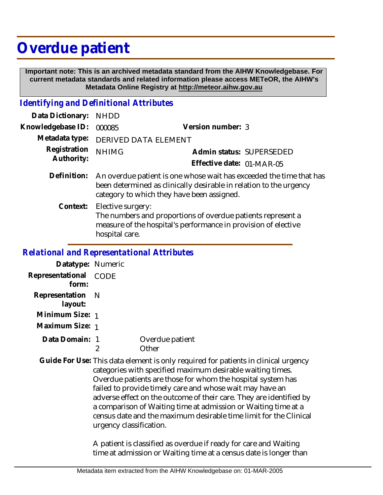## **Overdue patient**

 **Important note: This is an archived metadata standard from the AIHW Knowledgebase. For current metadata standards and related information please access METeOR, the AIHW's Metadata Online Registry at http://meteor.aihw.gov.au**

## *Identifying and Definitional Attributes*

| Data Dictionary:           | <b>NHDD</b>                                                                                                                                                                             |                           |  |
|----------------------------|-----------------------------------------------------------------------------------------------------------------------------------------------------------------------------------------|---------------------------|--|
| Knowledgebase ID:          | 000085                                                                                                                                                                                  | Version number: 3         |  |
| Metadata type:             | DERIVED DATA ELEMENT                                                                                                                                                                    |                           |  |
| Registration<br>Authority: | <b>NHIMG</b>                                                                                                                                                                            | Admin status: SUPERSEDED  |  |
|                            |                                                                                                                                                                                         | Effective date: 01-MAR-05 |  |
| Definition:                | An overdue patient is one whose wait has exceeded the time that has<br>been determined as clinically desirable in relation to the urgency<br>category to which they have been assigned. |                           |  |
| Context:                   | Elective surgery:<br>The numbers and proportions of overdue patients represent a<br>measure of the hospital's performance in provision of elective<br>hospital care.                    |                           |  |
|                            | <b>Relational and Representational Attributes</b>                                                                                                                                       |                           |  |

## **Datatype:** Numeric

| Dalatype. TVUITIELIU  |                          |
|-----------------------|--------------------------|
| Representational CODE |                          |
| Representation N      |                          |
| Minimum Size: 1       |                          |
| Maximum Size: 1       |                          |
| Data Domain: 1        | Overdue patient<br>∩ther |
|                       |                          |

Guide For Use: This data element is only required for patients in clinical urgency categories with specified maximum desirable waiting times. Overdue patients are those for whom the hospital system has failed to provide timely care and whose wait may have an adverse effect on the outcome of their care. They are identified by a comparison of Waiting time at admission or Waiting time at a census date and the maximum desirable time limit for the Clinical urgency classification.

> A patient is classified as overdue if ready for care and Waiting time at admission or Waiting time at a census date is longer than